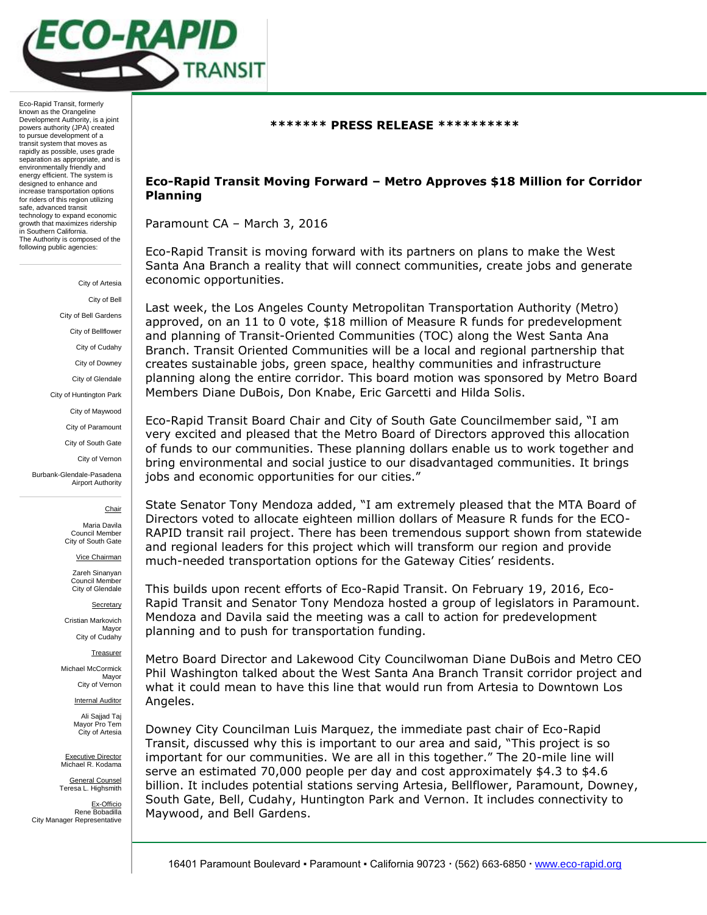

Eco-Rapid Transit, formerly known as the Orangeline Development Authority, is a joint powers authority (JPA) created to pursue development of a transit system that moves as rapidly as possible, uses grade separation as appropriate, and is environmentally friendly and energy efficient. The system is designed to enhance and increase transportation options for riders of this region utilizing safe, advanced transit technology to expand economic growth that maximizes ridership in Southern California. The Authority is composed of the following public agencies:

> City of Artesia City of Bell City of Bell Gardens City of Bellflower City of Cudahy City of Downey City of Glendale City of Huntington Park City of Maywood City of Paramount City of South Gate City of Vernon Burbank-Glendale-Pasadena Airport Authority Chair Maria Davila Council Member

> > City of South Gate Vice Chairman

Zareh Sinanyan Council Member City of Glendale

**Secretary** Cristian Markovich Mayor

City of Cudahy **Treasurer** 

Michael McCormick Mayor City of Vernon

**Internal Auditor** 

Ali Sajjad Taj Mayor Pro Tem City of Artesia

Executive Director Michael R. Kodama

General Counsel Teresa L. Highsmith

Ex-Officio Rene Bobadilla City Manager Representative

## **\*\*\*\*\*\*\* PRESS RELEASE \*\*\*\*\*\*\*\*\*\***

## **Eco-Rapid Transit Moving Forward – Metro Approves \$18 Million for Corridor Planning**

Paramount CA – March 3, 2016

Eco-Rapid Transit is moving forward with its partners on plans to make the West Santa Ana Branch a reality that will connect communities, create jobs and generate economic opportunities.

Last week, the Los Angeles County Metropolitan Transportation Authority (Metro) approved, on an 11 to 0 vote, \$18 million of Measure R funds for predevelopment and planning of Transit-Oriented Communities (TOC) along the West Santa Ana Branch. Transit Oriented Communities will be a local and regional partnership that creates sustainable jobs, green space, healthy communities and infrastructure planning along the entire corridor. This board motion was sponsored by Metro Board Members Diane DuBois, Don Knabe, Eric Garcetti and Hilda Solis.

Eco-Rapid Transit Board Chair and City of South Gate Councilmember said, "I am very excited and pleased that the Metro Board of Directors approved this allocation of funds to our communities. These planning dollars enable us to work together and bring environmental and social justice to our disadvantaged communities. It brings jobs and economic opportunities for our cities."

State Senator Tony Mendoza added, "I am extremely pleased that the MTA Board of Directors voted to allocate eighteen million dollars of Measure R funds for the ECO-RAPID transit rail project. There has been tremendous support shown from statewide and regional leaders for this project which will transform our region and provide much-needed transportation options for the Gateway Cities' residents.

This builds upon recent efforts of Eco-Rapid Transit. On February 19, 2016, Eco-Rapid Transit and Senator Tony Mendoza hosted a group of legislators in Paramount. Mendoza and Davila said the meeting was a call to action for predevelopment planning and to push for transportation funding.

Metro Board Director and Lakewood City Councilwoman Diane DuBois and Metro CEO Phil Washington talked about the West Santa Ana Branch Transit corridor project and what it could mean to have this line that would run from Artesia to Downtown Los Angeles.

Downey City Councilman Luis Marquez, the immediate past chair of Eco-Rapid Transit, discussed why this is important to our area and said, "This project is so important for our communities. We are all in this together." The 20-mile line will serve an estimated 70,000 people per day and cost approximately \$4.3 to \$4.6 billion. It includes potential stations serving Artesia, Bellflower, Paramount, Downey, South Gate, Bell, Cudahy, Huntington Park and Vernon. It includes connectivity to Maywood, and Bell Gardens.